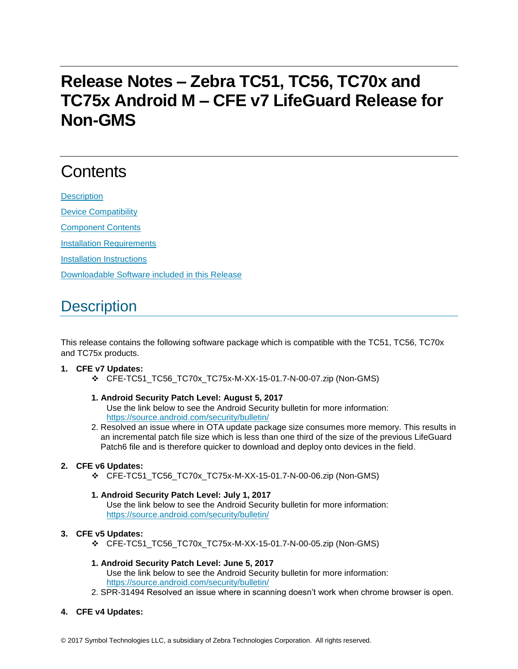# **Release Notes – Zebra TC51, TC56, TC70x and TC75x Android M – CFE v7 LifeGuard Release for Non-GMS**

# **Contents**

**[Description](#page-0-0)** [Device Compatibility](#page-1-0) [Component Contents](#page-2-0) [Installation Requirements](#page-2-1)

[Installation Instructions](#page-2-2)

[Downloadable Software included in this Release](#page-3-0)

## <span id="page-0-0"></span>**Description**

This release contains the following software package which is compatible with the TC51, TC56, TC70x and TC75x products.

#### **1. CFE v7 Updates:**

❖ CFE-TC51\_TC56\_TC70x\_TC75x-M-XX-15-01.7-N-00-07.zip (Non-GMS)

#### **1. Android Security Patch Level: August 5, 2017** Use the link below to see the Android Security bulletin for more information:

- <https://source.android.com/security/bulletin/>
- 2. Resolved an issue where in OTA update package size consumes more memory. This results in an incremental patch file size which is less than one third of the size of the previous LifeGuard Patch6 file and is therefore quicker to download and deploy onto devices in the field.

#### **2. CFE v6 Updates:**

❖ CFE-TC51\_TC56\_TC70x\_TC75x-M-XX-15-01.7-N-00-06.zip (Non-GMS)

#### **1. Android Security Patch Level: July 1, 2017**

Use the link below to see the Android Security bulletin for more information: <https://source.android.com/security/bulletin/>

#### **3. CFE v5 Updates:**

❖ CFE-TC51\_TC56\_TC70x\_TC75x-M-XX-15-01.7-N-00-05.zip (Non-GMS)

#### **1. Android Security Patch Level: June 5, 2017**

Use the link below to see the Android Security bulletin for more information: <https://source.android.com/security/bulletin/>

2. SPR-31494 Resolved an issue where in scanning doesn't work when chrome browser is open.

#### **4. CFE v4 Updates:**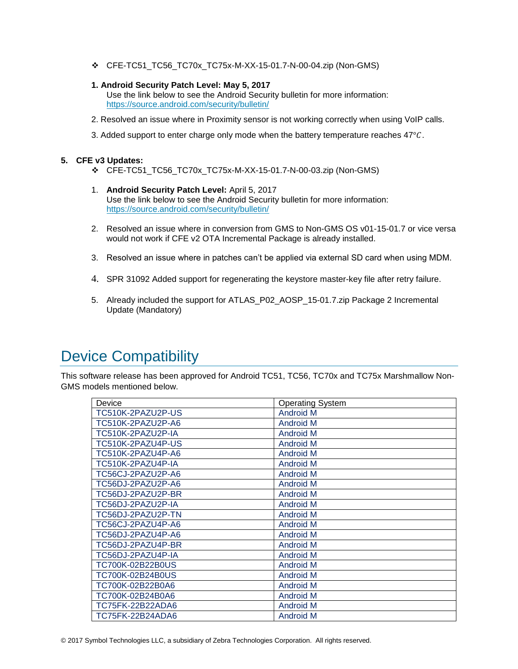- ❖ CFE-TC51\_TC56\_TC70x\_TC75x-M-XX-15-01.7-N-00-04.zip (Non-GMS)
- **1. Android Security Patch Level: May 5, 2017**
	- Use the link below to see the Android Security bulletin for more information: <https://source.android.com/security/bulletin/>
- 2. Resolved an issue where in Proximity sensor is not working correctly when using VoIP calls.
- 3. Added support to enter charge only mode when the battery temperature reaches  $47^{\circ}$ C.

#### **5. CFE v3 Updates:**

- ❖ CFE-TC51\_TC56\_TC70x\_TC75x-M-XX-15-01.7-N-00-03.zip (Non-GMS)
- 1. **Android Security Patch Level:** April 5, 2017 Use the link below to see the Android Security bulletin for more information: <https://source.android.com/security/bulletin/>
- 2. Resolved an issue where in conversion from GMS to Non-GMS OS v01-15-01.7 or vice versa would not work if CFE v2 OTA Incremental Package is already installed.
- 3. Resolved an issue where in patches can't be applied via external SD card when using MDM.
- 4. SPR 31092 Added support for regenerating the keystore master-key file after retry failure.
- 5. Already included the support for ATLAS\_P02\_AOSP\_15-01.7.zip Package 2 Incremental Update (Mandatory)

### <span id="page-1-0"></span>Device Compatibility

This software release has been approved for Android TC51, TC56, TC70x and TC75x Marshmallow Non-GMS models mentioned below.

| Device            | <b>Operating System</b> |
|-------------------|-------------------------|
| TC510K-2PAZU2P-US | <b>Android M</b>        |
| TC510K-2PAZU2P-A6 | <b>Android M</b>        |
| TC510K-2PAZU2P-IA | <b>Android M</b>        |
| TC510K-2PAZU4P-US | <b>Android M</b>        |
| TC510K-2PAZU4P-A6 | <b>Android M</b>        |
| TC510K-2PAZU4P-IA | <b>Android M</b>        |
| TC56CJ-2PAZU2P-A6 | <b>Android M</b>        |
| TC56DJ-2PAZU2P-A6 | <b>Android M</b>        |
| TC56DJ-2PAZU2P-BR | <b>Android M</b>        |
| TC56DJ-2PAZU2P-IA | <b>Android M</b>        |
| TC56DJ-2PAZU2P-TN | <b>Android M</b>        |
| TC56CJ-2PAZU4P-A6 | <b>Android M</b>        |
| TC56DJ-2PAZU4P-A6 | <b>Android M</b>        |
| TC56DJ-2PAZU4P-BR | <b>Android M</b>        |
| TC56DJ-2PAZU4P-IA | <b>Android M</b>        |
| TC700K-02B22B0US  | <b>Android M</b>        |
| TC700K-02B24B0US  | <b>Android M</b>        |
| TC700K-02B22B0A6  | <b>Android M</b>        |
| TC700K-02B24B0A6  | <b>Android M</b>        |
| TC75FK-22B22ADA6  | <b>Android M</b>        |
| TC75FK-22B24ADA6  | <b>Android M</b>        |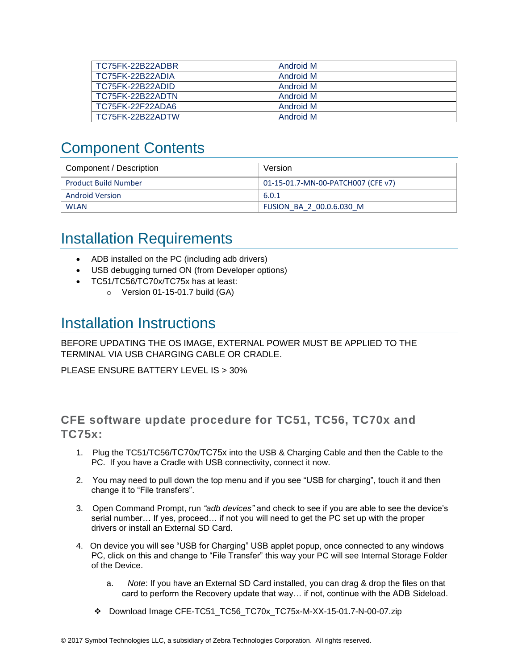| TC75FK-22B22ADBR | Android M |
|------------------|-----------|
| TC75FK-22B22ADIA | Android M |
| TC75FK-22B22ADID | Android M |
| TC75FK-22B22ADTN | Android M |
| TC75FK-22F22ADA6 | Android M |
| TC75FK-22B22ADTW | Android M |

### <span id="page-2-0"></span>Component Contents

| Component / Description     | Version                            |
|-----------------------------|------------------------------------|
| <b>Product Build Number</b> | 01-15-01.7-MN-00-PATCH007 (CFE v7) |
| Android Version             | 6.0.1                              |
| <b>WLAN</b>                 | FUSION BA 2 00.0.6.030 M           |

### <span id="page-2-1"></span>Installation Requirements

- ADB installed on the PC (including adb drivers)
- USB debugging turned ON (from Developer options)
- TC51/TC56/TC70x/TC75x has at least:
	- $\circ$  Version 01-15-01.7 build (GA)

### <span id="page-2-2"></span>Installation Instructions

BEFORE UPDATING THE OS IMAGE, EXTERNAL POWER MUST BE APPLIED TO THE TERMINAL VIA USB CHARGING CABLE OR CRADLE.

PLEASE ENSURE BATTERY LEVEL IS > 30%

### CFE software update procedure for TC51, TC56, TC70x and TC75x:

- 1. Plug the TC51/TC56/TC70x/TC75x into the USB & Charging Cable and then the Cable to the PC. If you have a Cradle with USB connectivity, connect it now.
- 2. You may need to pull down the top menu and if you see "USB for charging", touch it and then change it to "File transfers".
- 3. Open Command Prompt, run *"adb devices"* and check to see if you are able to see the device's serial number… If yes, proceed… if not you will need to get the PC set up with the proper drivers or install an External SD Card.
- 4. On device you will see "USB for Charging" USB applet popup, once connected to any windows PC, click on this and change to "File Transfer" this way your PC will see Internal Storage Folder of the Device.
	- a. *Note*: If you have an External SD Card installed, you can drag & drop the files on that card to perform the Recovery update that way… if not, continue with the ADB Sideload.
	- ❖ Download Image CFE-TC51\_TC56\_TC70x\_TC75x-M-XX-15-01.7-N-00-07.zip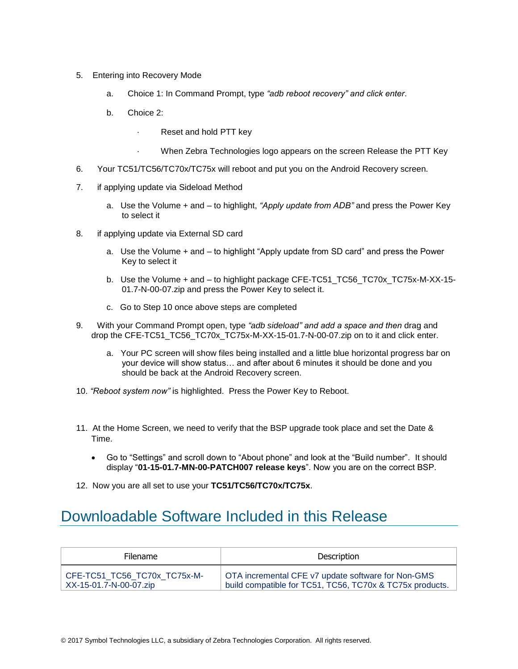- 5. Entering into Recovery Mode
	- a. Choice 1: In Command Prompt, type *"adb reboot recovery" and click enter*.
	- b. Choice 2:
		- Reset and hold PTT key
			- When Zebra Technologies logo appears on the screen Release the PTT Key
- 6. Your TC51/TC56/TC70x/TC75x will reboot and put you on the Android Recovery screen.
- 7. if applying update via Sideload Method
	- a. Use the Volume + and to highlight, *"Apply update from ADB"* and press the Power Key to select it
- 8. if applying update via External SD card
	- a. Use the Volume + and to highlight "Apply update from SD card" and press the Power Key to select it
	- b. Use the Volume + and to highlight package CFE-TC51\_TC56\_TC70x\_TC75x-M-XX-15- 01.7-N-00-07.zip and press the Power Key to select it.
	- c. Go to Step 10 once above steps are completed
- 9. With your Command Prompt open, type *"adb sideload" and add a space and then* drag and drop the CFE-TC51\_TC56\_TC70x\_TC75x-M-XX-15-01.7-N-00-07.zip on to it and click enter.
	- a. Your PC screen will show files being installed and a little blue horizontal progress bar on your device will show status… and after about 6 minutes it should be done and you should be back at the Android Recovery screen.
- 10. *"Reboot system now"* is highlighted. Press the Power Key to Reboot.
- 11. At the Home Screen, we need to verify that the BSP upgrade took place and set the Date & Time.
	- Go to "Settings" and scroll down to "About phone" and look at the "Build number". It should display "**01-15-01.7-MN-00-PATCH007 release keys**". Now you are on the correct BSP.
- 12. Now you are all set to use your **TC51/TC56/TC70x/TC75x**.

### <span id="page-3-0"></span>Downloadable Software Included in this Release

| <b>Filename</b>              | Description                                              |
|------------------------------|----------------------------------------------------------|
| CFE-TC51 TC56 TC70x TC75x-M- | OTA incremental CFE v7 update software for Non-GMS       |
| XX-15-01.7-N-00-07.zip       | build compatible for TC51, TC56, TC70x & TC75x products. |